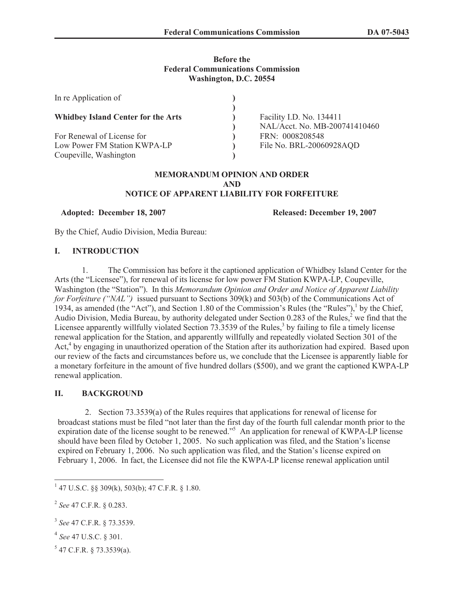# **Before the Federal Communications Commission Washington, D.C. 20554**

| In re Application of                                                                 |                                                           |
|--------------------------------------------------------------------------------------|-----------------------------------------------------------|
| <b>Whidbey Island Center for the Arts</b>                                            | Facility I.D. No. 134411<br>NAL/Acct. No. MB-200741410460 |
| For Renewal of License for<br>Low Power FM Station KWPA-LP<br>Coupeville, Washington | FRN: 0008208548<br>File No. BRL-20060928AQD               |

#### **MEMORANDUM OPINION AND ORDER AND NOTICE OF APPARENT LIABILITY FOR FORFEITURE**

**Adopted: December 18, 2007 Released: December 19, 2007**

By the Chief, Audio Division, Media Bureau:

# **I. INTRODUCTION**

1. The Commission has before it the captioned application of Whidbey Island Center for the Arts (the "Licensee"), for renewal of its license for low power FM Station KWPA-LP, Coupeville, Washington (the "Station"). In this *Memorandum Opinion and Order and Notice of Apparent Liability for Forfeiture ("NAL")* issued pursuant to Sections 309(k) and 503(b) of the Communications Act of 1934, as amended (the "Act"), and Section 1.80 of the Commission's Rules (the "Rules"),<sup>1</sup> by the Chief, Audio Division, Media Bureau, by authority delegated under Section 0.283 of the Rules, $\frac{2}{3}$  we find that the Licensee apparently willfully violated Section 73.3539 of the Rules,<sup>3</sup> by failing to file a timely license renewal application for the Station, and apparently willfully and repeatedly violated Section 301 of the Act,<sup>4</sup> by engaging in unauthorized operation of the Station after its authorization had expired. Based upon our review of the facts and circumstances before us, we conclude that the Licensee is apparently liable for a monetary forfeiture in the amount of five hundred dollars (\$500), and we grant the captioned KWPA-LP renewal application.

# **II. BACKGROUND**

2. Section 73.3539(a) of the Rules requires that applications for renewal of license for broadcast stations must be filed "not later than the first day of the fourth full calendar month prior to the expiration date of the license sought to be renewed."<sup>5</sup> An application for renewal of KWPA-LP license should have been filed by October 1, 2005. No such application was filed, and the Station's license expired on February 1, 2006. No such application was filed, and the Station's license expired on February 1, 2006. In fact, the Licensee did not file the KWPA-LP license renewal application until

- 4 *See* 47 U.S.C. § 301.
- $5$  47 C.F.R. § 73.3539(a).

<sup>1</sup> 47 U.S.C. §§ 309(k), 503(b); 47 C.F.R. § 1.80.

<sup>2</sup> *See* 47 C.F.R. § 0.283.

<sup>3</sup> *See* 47 C.F.R. § 73.3539.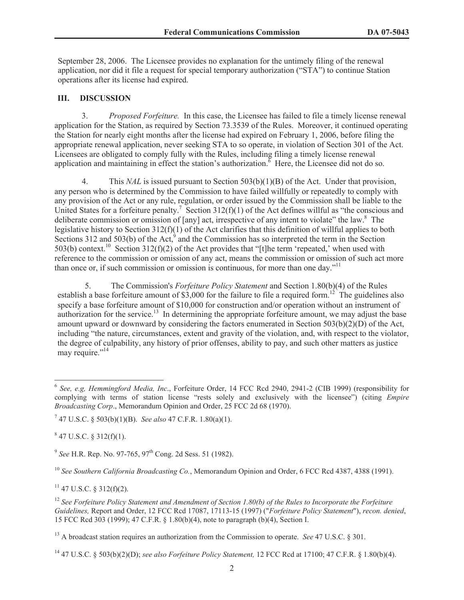September 28, 2006. The Licensee provides no explanation for the untimely filing of the renewal application, nor did it file a request for special temporary authorization ("STA") to continue Station operations after its license had expired.

#### **III. DISCUSSION**

3. *Proposed Forfeiture.* In this case, the Licensee has failed to file a timely license renewal application for the Station, as required by Section 73.3539 of the Rules. Moreover, it continued operating the Station for nearly eight months after the license had expired on February 1, 2006, before filing the appropriate renewal application, never seeking STA to so operate, in violation of Section 301 of the Act. Licensees are obligated to comply fully with the Rules, including filing a timely license renewal application and maintaining in effect the station's authorization.  $\overline{6}$  Here, the Licensee did not do so.

4. This *NAL* is issued pursuant to Section 503(b)(1)(B) of the Act. Under that provision, any person who is determined by the Commission to have failed willfully or repeatedly to comply with any provision of the Act or any rule, regulation, or order issued by the Commission shall be liable to the United States for a forfeiture penalty.<sup>7</sup> Section 312(f)(1) of the Act defines willful as "the conscious and deliberate commission or omission of [any] act, irrespective of any intent to violate" the law.<sup>8</sup> The legislative history to Section 312(f)(1) of the Act clarifies that this definition of willful applies to both Sections 312 and 503(b) of the Act, $9$  and the Commission has so interpreted the term in the Section 503(b) context.<sup>10</sup> Section 312(f)(2) of the Act provides that "[t]he term 'repeated,' when used with reference to the commission or omission of any act, means the commission or omission of such act more than once or, if such commission or omission is continuous, for more than one day."<sup>11</sup>

5. The Commission's *Forfeiture Policy Statement* and Section 1.80(b)(4) of the Rules establish a base forfeiture amount of \$3,000 for the failure to file a required form.<sup>12</sup> The guidelines also specify a base forfeiture amount of \$10,000 for construction and/or operation without an instrument of authorization for the service.<sup>13</sup> In determining the appropriate forfeiture amount, we may adjust the base amount upward or downward by considering the factors enumerated in Section 503(b)(2)(D) of the Act, including "the nature, circumstances, extent and gravity of the violation, and, with respect to the violator, the degree of culpability, any history of prior offenses, ability to pay, and such other matters as justice may require."<sup>14</sup>

 $847$  U.S.C. § 312(f)(1).

 $11$  47 U.S.C. § 312(f)(2).

<sup>6</sup> *See, e.g, Hemmingford Media, Inc*., Forfeiture Order, 14 FCC Rcd 2940, 2941-2 (CIB 1999) (responsibility for complying with terms of station license "rests solely and exclusively with the licensee") (citing *Empire Broadcasting Corp*., Memorandum Opinion and Order, 25 FCC 2d 68 (1970).

<sup>7</sup> 47 U.S.C. § 503(b)(1)(B). *See also* 47 C.F.R. 1.80(a)(1).

<sup>&</sup>lt;sup>9</sup> See H.R. Rep. No. 97-765, 97<sup>th</sup> Cong. 2d Sess. 51 (1982).

<sup>10</sup> *See Southern California Broadcasting Co.*, Memorandum Opinion and Order, 6 FCC Rcd 4387, 4388 (1991).

<sup>12</sup> *See Forfeiture Policy Statement and Amendment of Section 1.80(b) of the Rules to Incorporate the Forfeiture Guidelines,* Report and Order, 12 FCC Rcd 17087, 17113-15 (1997) ("*Forfeiture Policy Statement*"), *recon. denied*, 15 FCC Rcd 303 (1999); 47 C.F.R. § 1.80(b)(4), note to paragraph (b)(4), Section I.

<sup>13</sup> A broadcast station requires an authorization from the Commission to operate. *See* 47 U.S.C. § 301.

<sup>14</sup> 47 U.S.C. § 503(b)(2)(D); *see also Forfeiture Policy Statement,* 12 FCC Rcd at 17100; 47 C.F.R. § 1.80(b)(4).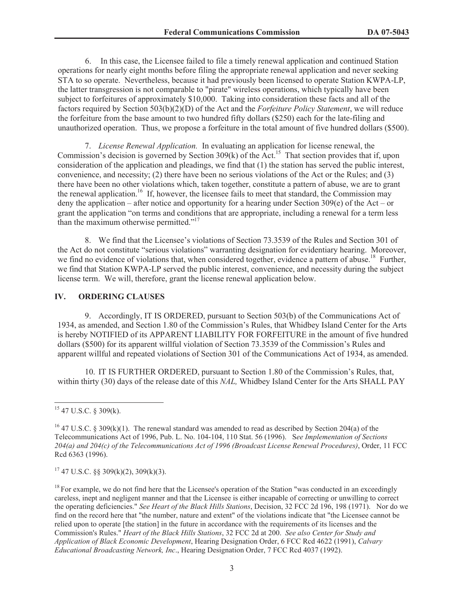6. In this case, the Licensee failed to file a timely renewal application and continued Station operations for nearly eight months before filing the appropriate renewal application and never seeking STA to so operate. Nevertheless, because it had previously been licensed to operate Station KWPA-LP, the latter transgression is not comparable to "pirate" wireless operations, which typically have been subject to forfeitures of approximately \$10,000. Taking into consideration these facts and all of the factors required by Section 503(b)(2)(D) of the Act and the *Forfeiture Policy Statement*, we will reduce the forfeiture from the base amount to two hundred fifty dollars (\$250) each for the late-filing and unauthorized operation. Thus, we propose a forfeiture in the total amount of five hundred dollars (\$500).

7. *License Renewal Application.* In evaluating an application for license renewal, the Commission's decision is governed by Section 309(k) of the Act.<sup>15</sup> That section provides that if, upon consideration of the application and pleadings, we find that (1) the station has served the public interest, convenience, and necessity; (2) there have been no serious violations of the Act or the Rules; and (3) there have been no other violations which, taken together, constitute a pattern of abuse, we are to grant the renewal application.<sup>16</sup> If, however, the licensee fails to meet that standard, the Commission may deny the application – after notice and opportunity for a hearing under Section 309(e) of the Act – or grant the application "on terms and conditions that are appropriate, including a renewal for a term less than the maximum otherwise permitted."<sup>17</sup>

8. We find that the Licensee's violations of Section 73.3539 of the Rules and Section 301 of the Act do not constitute "serious violations" warranting designation for evidentiary hearing. Moreover, we find no evidence of violations that, when considered together, evidence a pattern of abuse.<sup>18</sup> Further, we find that Station KWPA-LP served the public interest, convenience, and necessity during the subject license term. We will, therefore, grant the license renewal application below.

#### **IV. ORDERING CLAUSES**

9. Accordingly, IT IS ORDERED, pursuant to Section 503(b) of the Communications Act of 1934, as amended, and Section 1.80 of the Commission's Rules, that Whidbey Island Center for the Arts is hereby NOTIFIED of its APPARENT LIABILITY FOR FORFEITURE in the amount of five hundred dollars (\$500) for its apparent willful violation of Section 73.3539 of the Commission's Rules and apparent willful and repeated violations of Section 301 of the Communications Act of 1934, as amended.

10. IT IS FURTHER ORDERED, pursuant to Section 1.80 of the Commission's Rules, that, within thirty (30) days of the release date of this *NAL,* Whidbey Island Center for the Arts SHALL PAY

 $17$  47 U.S.C. §§ 309(k)(2), 309(k)(3).

<sup>15</sup> 47 U.S.C. § 309(k).

<sup>&</sup>lt;sup>16</sup> 47 U.S.C. § 309(k)(1). The renewal standard was amended to read as described by Section 204(a) of the Telecommunications Act of 1996, Pub. L. No. 104-104, 110 Stat. 56 (1996). S*ee Implementation of Sections 204(a) and 204(c) of the Telecommunications Act of 1996 (Broadcast License Renewal Procedures)*, Order, 11 FCC Rcd 6363 (1996).

 $<sup>18</sup>$  For example, we do not find here that the Licensee's operation of the Station "was conducted in an exceedingly</sup> careless, inept and negligent manner and that the Licensee is either incapable of correcting or unwilling to correct the operating deficiencies." *See Heart of the Black Hills Stations*, Decision, 32 FCC 2d 196, 198 (1971). Nor do we find on the record here that "the number, nature and extent" of the violations indicate that "the Licensee cannot be relied upon to operate [the station] in the future in accordance with the requirements of its licenses and the Commission's Rules." *Heart of the Black Hills Stations*, 32 FCC 2d at 200. *See also Center for Study and Application of Black Economic Development*, Hearing Designation Order, 6 FCC Rcd 4622 (1991), *Calvary Educational Broadcasting Network, Inc*., Hearing Designation Order, 7 FCC Rcd 4037 (1992).